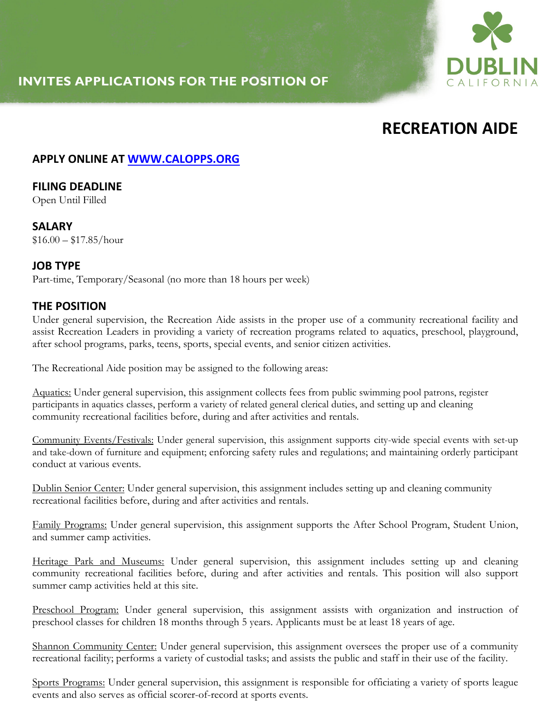# **INVITES APPLICATIONS FOR THE POSITION OF**



# **RECREATION AIDE**

### **APPLY ONLINE AT WWW.CALOPPS.ORG**

# **FILING DEADLINE**

Open Until Filled

**SALARY**  $$16.00 - $17.85/hour$ 

#### **JOB TYPE**

Part-time, Temporary/Seasonal (no more than 18 hours per week)

#### **THE POSITION**

Under general supervision, the Recreation Aide assists in the proper use of a community recreational facility and assist Recreation Leaders in providing a variety of recreation programs related to aquatics, preschool, playground, after school programs, parks, teens, sports, special events, and senior citizen activities.

The Recreational Aide position may be assigned to the following areas:

Aquatics: Under general supervision, this assignment collects fees from public swimming pool patrons, register participants in aquatics classes, perform a variety of related general clerical duties, and setting up and cleaning community recreational facilities before, during and after activities and rentals.

Community Events/Festivals: Under general supervision, this assignment supports city-wide special events with set-up and take-down of furniture and equipment; enforcing safety rules and regulations; and maintaining orderly participant conduct at various events.

Dublin Senior Center: Under general supervision, this assignment includes setting up and cleaning community recreational facilities before, during and after activities and rentals.

Family Programs: Under general supervision, this assignment supports the After School Program, Student Union, and summer camp activities.

Heritage Park and Museums: Under general supervision, this assignment includes setting up and cleaning community recreational facilities before, during and after activities and rentals. This position will also support summer camp activities held at this site.

Preschool Program: Under general supervision, this assignment assists with organization and instruction of preschool classes for children 18 months through 5 years. Applicants must be at least 18 years of age.

Shannon Community Center: Under general supervision, this assignment oversees the proper use of a community recreational facility; performs a variety of custodial tasks; and assists the public and staff in their use of the facility.

Sports Programs: Under general supervision, this assignment is responsible for officiating a variety of sports league events and also serves as official scorer-of-record at sports events.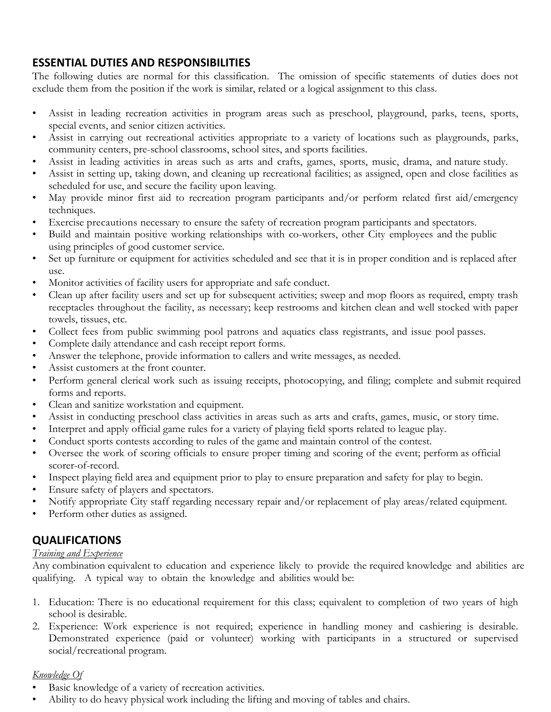# **ESSENTIAL DUTIES AND RESPONSIBILITIES**

The following duties are normal for this classification. The omission of specific statements of duties does not exclude them from the position if the work is similar, related or a logical assignment to this class.

- Assist in leading recreation activities in program areas such as preschool, playground, parks, teens, sports, special events, and senior citizen activities.
- Assist in carrying out recreational activities appropriate to a variety of locations such as playgrounds, parks, community centers, pre-school classrooms, school sites, and sports facilities.
- Assist in leading activities in areas such as arts and crafts, games, sports, music, drama, and nature study.
- Assist in setting up, taking down, and cleaning up recreational facilities; as assigned, open and close facilities as scheduled for use, and secure the facility upon leaving.
- May provide minor first aid to recreation program participants and/or perform related first aid/emergency techniques.
- Exercise precautions necessary to ensure the safety of recreation program participants and spectators.
- Build and maintain positive working relationships with co-workers, other City employees and the public using principles of good customer service.
- Set up furniture or equipment for activities scheduled and see that it is in proper condition and is replaced after use.
- Monitor activities of facility users for appropriate and safe conduct.
- Clean up after facility users and set up for subsequent activities; sweep and mop floors as required, empty trash receptacles throughout the facility, as necessary; keep restrooms and kitchen clean and well stocked with paper towels, tissues, etc.
- Collect fees from public swimming pool patrons and aquatics class registrants, and issue pool passes.
- Complete daily attendance and cash receipt report forms.
- Answer the telephone, provide information to callers and write messages, as needed.
- Assist customers at the front counter.
- Perform general clerical work such as issuing receipts, photocopying, and filing; complete and submit required forms and reports.
- Clean and sanitize workstation and equipment.
- Assist in conducting preschool class activities in areas such as arts and crafts, games, music, or story time.
- Interpret and apply official game rules for a variety of playing field sports related to league play.
- Conduct sports contests according to rules of the game and maintain control of the contest.
- Oversee the work of scoring officials to ensure proper timing and scoring of the event; perform as official scorer-of-record.
- Inspect playing field area and equipment prior to play to ensure preparation and safety for play to begin.
- Ensure safety of players and spectators.
- Notify appropriate City staff regarding necessary repair and/or replacement of play areas/related equipment.
- Perform other duties as assigned.

# **QUALIFICATIONS**

#### *Training and Experience*

Any combination equivalent to education and experience likely to provide the required knowledge and abilities are qualifying. A typical way to obtain the knowledge and abilities would be:

- 1. Education: There is no educational requirement for this class; equivalent to completion of two years of high school is desirable.
- 2. Experience: Work experience is not required; experience in handling money and cashiering is desirable. Demonstrated experience (paid or volunteer) working with participants in a structured or supervised social/recreational program.

#### *Knowledge Of*

- Basic knowledge of a variety of recreation activities.
- Ability to do heavy physical work including the lifting and moving of tables and chairs.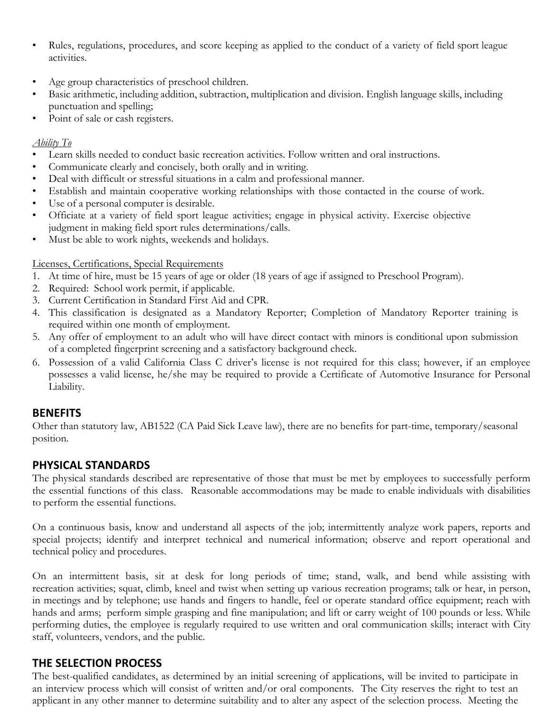- Rules, regulations, procedures, and score keeping as applied to the conduct of a variety of field sport league activities.
- Age group characteristics of preschool children.
- Basic arithmetic, including addition, subtraction, multiplication and division. English language skills, including punctuation and spelling;
- Point of sale or cash registers.

#### *Ability To*

- Learn skills needed to conduct basic recreation activities. Follow written and oral instructions.
- Communicate clearly and concisely, both orally and in writing.
- Deal with difficult or stressful situations in a calm and professional manner.
- Establish and maintain cooperative working relationships with those contacted in the course of work.
- Use of a personal computer is desirable.
- Officiate at a variety of field sport league activities; engage in physical activity. Exercise objective judgment in making field sport rules determinations/calls.
- Must be able to work nights, weekends and holidays.

#### Licenses, Certifications, Special Requirements

- 1. At time of hire, must be 15 years of age or older (18 years of age if assigned to Preschool Program).
- 2. Required: School work permit, if applicable.
- 3. Current Certification in Standard First Aid and CPR.
- 4. This classification is designated as a Mandatory Reporter; Completion of Mandatory Reporter training is required within one month of employment.
- 5. Any offer of employment to an adult who will have direct contact with minors is conditional upon submission of a completed fingerprint screening and a satisfactory background check.
- 6. Possession of a valid California Class C driver's license is not required for this class; however, if an employee possesses a valid license, he/she may be required to provide a Certificate of Automotive Insurance for Personal Liability.

# **BENEFITS**

Other than statutory law, AB1522 (CA Paid Sick Leave law), there are no benefits for part-time, temporary/seasonal position.

# **PHYSICAL STANDARDS**

The physical standards described are representative of those that must be met by employees to successfully perform the essential functions of this class. Reasonable accommodations may be made to enable individuals with disabilities to perform the essential functions.

On a continuous basis, know and understand all aspects of the job; intermittently analyze work papers, reports and special projects; identify and interpret technical and numerical information; observe and report operational and technical policy and procedures.

On an intermittent basis, sit at desk for long periods of time; stand, walk, and bend while assisting with recreation activities; squat, climb, kneel and twist when setting up various recreation programs; talk or hear, in person, in meetings and by telephone; use hands and fingers to handle, feel or operate standard office equipment; reach with hands and arms; perform simple grasping and fine manipulation; and lift or carry weight of 100 pounds or less. While performing duties, the employee is regularly required to use written and oral communication skills; interact with City staff, volunteers, vendors, and the public.

# **THE SELECTION PROCESS**

The best-qualified candidates, as determined by an initial screening of applications, will be invited to participate in an interview process which will consist of written and/or oral components. The City reserves the right to test an applicant in any other manner to determine suitability and to alter any aspect of the selection process. Meeting the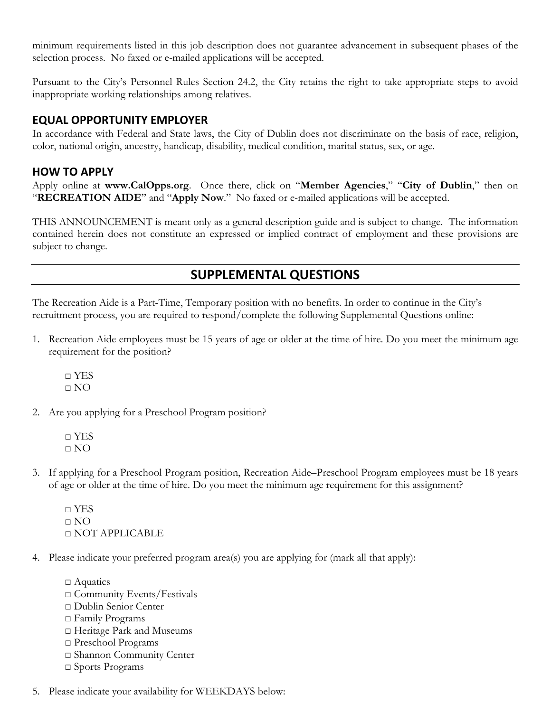minimum requirements listed in this job description does not guarantee advancement in subsequent phases of the selection process. No faxed or e-mailed applications will be accepted.

Pursuant to the City's Personnel Rules Section 24.2, the City retains the right to take appropriate steps to avoid inappropriate working relationships among relatives.

#### **EQUAL OPPORTUNITY EMPLOYER**

In accordance with Federal and State laws, the City of Dublin does not discriminate on the basis of race, religion, color, national origin, ancestry, handicap, disability, medical condition, marital status, sex, or age.

#### **HOW TO APPLY**

Apply online at **www.CalOpps.org**. Once there, click on "**Member Agencies**," "**City of Dublin**," then on "**RECREATION AIDE**" and "**Apply Now**." No faxed or e-mailed applications will be accepted.

THIS ANNOUNCEMENT is meant only as a general description guide and is subject to change. The information contained herein does not constitute an expressed or implied contract of employment and these provisions are subject to change.

# **SUPPLEMENTAL QUESTIONS**

The Recreation Aide is a Part-Time, Temporary position with no benefits. In order to continue in the City's recruitment process, you are required to respond/complete the following Supplemental Questions online:

1. Recreation Aide employees must be 15 years of age or older at the time of hire. Do you meet the minimum age requirement for the position?

□ YES  $\Box$  NO

- 2. Are you applying for a Preschool Program position?
	- □ YES □ NO
- 3. If applying for a Preschool Program position, Recreation Aide–Preschool Program employees must be 18 years of age or older at the time of hire. Do you meet the minimum age requirement for this assignment?

□ YES  $\Box$  NO □ NOT APPLICABLE

- 4. Please indicate your preferred program area(s) you are applying for (mark all that apply):
	- □ Aquatics □ Community Events/Festivals □ Dublin Senior Center □ Family Programs □ Heritage Park and Museums □ Preschool Programs □ Shannon Community Center □ Sports Programs
- 5. Please indicate your availability for WEEKDAYS below: